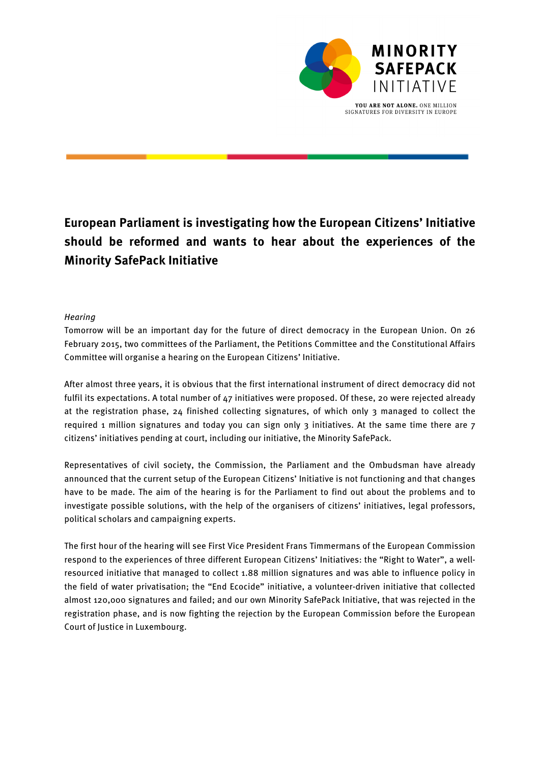

# **European Parliament is investigating how the European Citizens' Initiative should be reformed and wants to hear about the experiences of the Minority SafePack Initiative**

## **Hearing**

Tomorrow will be an important day for the future of direct democracy in the European Union. On 26 February 2015, two committees of the Parliament, the Petitions Committee and the Constitutional Affairs Committee will organise a hearing on the European Citizens' Initiative.

After almost three years, it is obvious that the first international instrument of direct democracy did not fulfil its expectations. A total number of 47 initiatives were proposed. Of these, 20 were rejected already at the registration phase, 24 finished collecting signatures, of which only 3 managed to collect the required 1 million signatures and today you can sign only 3 initiatives. At the same time there are 7 citizens' initiatives pending at court, including our initiative, the Minority SafePack.

Representatives of civil society, the Commission, the Parliament and the Ombudsman have already announced that the current setup of the European Citizens' Initiative is not functioning and that changes have to be made. The aim of the hearing is for the Parliament to find out about the problems and to investigate possible solutions, with the help of the organisers of citizens' initiatives, legal professors, political scholars and campaigning experts.

The first hour of the hearing will see First Vice President Frans Timmermans of the European Commission respond to the experiences of three different European Citizens' Initiatives: the "Right to Water", a wellresourced initiative that managed to collect 1.88 million signatures and was able to influence policy in the field of water privatisation; the "End Ecocide" initiative, a volunteer-driven initiative that collected almost 120,000 signatures and failed; and our own Minority SafePack Initiative, that was rejected in the registration phase, and is now fighting the rejection by the European Commission before the European Court of Justice in Luxembourg.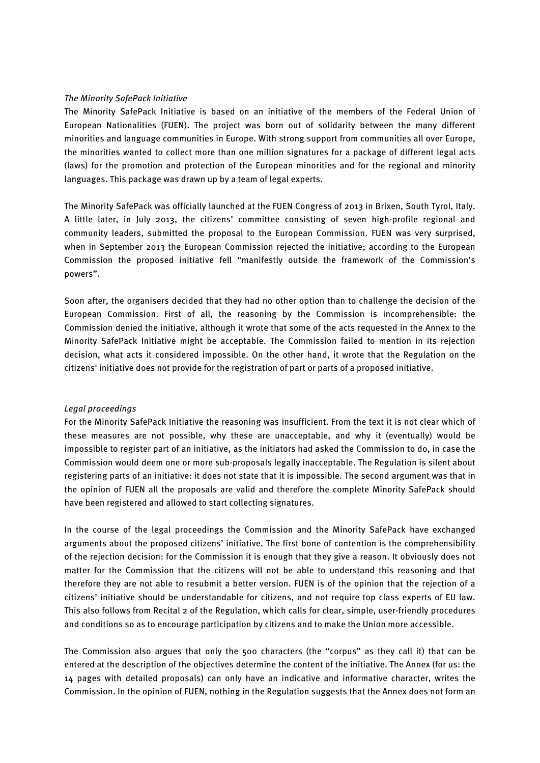#### The Minority SafePack Initiative

The Minority SafePack Initiative is based on an initiative of the members of the Federal Union of European Nationalities (FUEN). The project was born out of solidarity between the many different minorities and language communities in Europe. With strong support from communities all over Europe, the minorities wanted to collect more than one million signatures for a package of different legal acts (laws) for the promotion and protection of the European minorities and for the regional and minority languages. This package was drawn up by a team of legal experts.

The Minority SafePack was officially launched at the FUEN Congress of 2013 in Brixen, South Tyrol, Italy. A little later, in July 2013, the citizens' committee consisting of seven high-profile regional and community leaders, submitted the proposal to the European Commission. FUEN was very surprised, when in September 2013 the European Commission rejected the initiative; according to the European Commission the proposed initiative fell "manifestly outside the framework of the Commission's powers".

Soon after, the organisers decided that they had no other option than to challenge the decision of the European Commission. First of all, the reasoning by the Commission is incomprehensible: the Commission denied the initiative, although it wrote that some of the acts requested in the Annex to the Minority SafePack Initiative might be acceptable. The Commission failed to mention in its rejection decision, what acts it considered impossible. On the other hand, it wrote that the Regulation on the citizens' initiative does not provide for the registration of part or parts of a proposed initiative.

#### Legal proceedings

For the Minority SafePack Initiative the reasoning was insufficient. From the text it is not clear which of these measures are not possible, why these are unacceptable, and why it (eventually) would be impossible to register part of an initiative, as the initiators had asked the Commission to do, in case the Commission would deem one or more sub-proposals legally inacceptable. The Regulation is silent about registering parts of an initiative: it does not state that it is impossible. The second argument was that in the opinion of FUEN all the proposals are valid and therefore the complete Minority SafePack should have been registered and allowed to start collecting signatures.

In the course of the legal proceedings the Commission and the Minority SafePack have exchanged arguments about the proposed citizens' initiative. The first bone of contention is the comprehensibility of the rejection decision: for the Commission it is enough that they give a reason. It obviously does not matter for the Commission that the citizens will not be able to understand this reasoning and that therefore they are not able to resubmit a better version. FUEN is of the opinion that the rejection of a citizens' initiative should be understandable for citizens, and not require top class experts of EU law. This also follows from Recital 2 of the Regulation, which calls for clear, simple, user-friendly procedures and conditions so as to encourage participation by citizens and to make the Union more accessible.

The Commission also argues that only the 500 characters (the "corpus" as they call it) that can be entered at the description of the objectives determine the content of the initiative. The Annex (for us: the 14 pages with detailed proposals) can only have an indicative and informative character, writes the Commission. In the opinion of FUEN, nothing in the Regulation suggests that the Annex does not form an